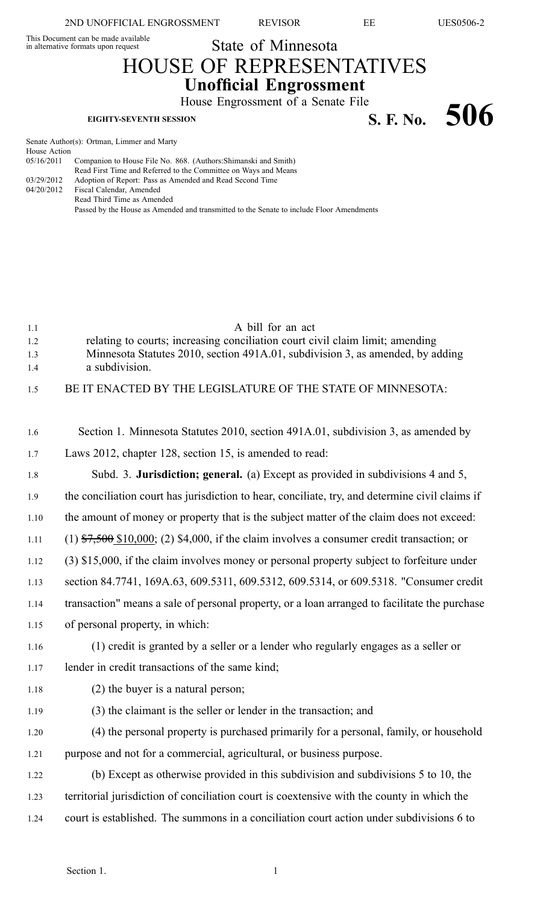2ND UNOFFICIAL ENGROSSMENT REVISOR EE UES0506-2

State of Minnesota

This Document can be made available

House Action<br>05/16/2011

## HOUSE OF REPRESENTATIVES **Unofficial Engrossment**

House Engrossment of <sup>a</sup> Senate File **EIGHTY-SEVENTH SESSION SELUXED ATTER SERVENTH SESSION S. F. No.** 506

Senate Author(s): Ortman, Limmer and Marty Companion to House File No. 868. (Authors: Shimanski and Smith) Read First Time and Referred to the Committee on Ways and Means

| 03/29/2012 | Adoption of Report: Pass as Amended and Read Second Time                                 |
|------------|------------------------------------------------------------------------------------------|
|            | 04/20/2012 Fiscal Calendar, Amended                                                      |
|            | Read Third Time as Amended                                                               |
|            | Passed by the House as Amended and transmitted to the Senate to include Floor Amendments |
|            |                                                                                          |

| 1.1<br>1.2<br>1.3<br>1.4 | A bill for an act<br>relating to courts; increasing conciliation court civil claim limit; amending<br>Minnesota Statutes 2010, section 491A.01, subdivision 3, as amended, by adding<br>a subdivision. |
|--------------------------|--------------------------------------------------------------------------------------------------------------------------------------------------------------------------------------------------------|
| 1.5                      | BE IT ENACTED BY THE LEGISLATURE OF THE STATE OF MINNESOTA:                                                                                                                                            |
| 1.6                      | Section 1. Minnesota Statutes 2010, section 491A.01, subdivision 3, as amended by                                                                                                                      |
| 1.7                      | Laws 2012, chapter 128, section 15, is amended to read:                                                                                                                                                |
| 1.8                      | Subd. 3. Jurisdiction; general. (a) Except as provided in subdivisions 4 and 5,                                                                                                                        |
| 1.9                      | the conciliation court has jurisdiction to hear, conciliate, try, and determine civil claims if                                                                                                        |
| 1.10                     | the amount of money or property that is the subject matter of the claim does not exceed:                                                                                                               |
| 1.11                     | $(1)$ \$7,500 \$10,000; (2) \$4,000, if the claim involves a consumer credit transaction; or                                                                                                           |
| 1.12                     | (3) \$15,000, if the claim involves money or personal property subject to forfeiture under                                                                                                             |
| 1.13                     | section 84.7741, 169A.63, 609.5311, 609.5312, 609.5314, or 609.5318. "Consumer credit                                                                                                                  |
| 1.14                     | transaction" means a sale of personal property, or a loan arranged to facilitate the purchase                                                                                                          |
| 1.15                     | of personal property, in which:                                                                                                                                                                        |
| 1.16                     | (1) credit is granted by a seller or a lender who regularly engages as a seller or                                                                                                                     |
| 1.17                     | lender in credit transactions of the same kind;                                                                                                                                                        |
| 1.18                     | (2) the buyer is a natural person;                                                                                                                                                                     |
| 1.19                     | (3) the claimant is the seller or lender in the transaction; and                                                                                                                                       |
| 1.20                     | (4) the personal property is purchased primarily for a personal, family, or household                                                                                                                  |
| 1.21                     | purpose and not for a commercial, agricultural, or business purpose.                                                                                                                                   |
| 1.22                     | (b) Except as otherwise provided in this subdivision and subdivisions 5 to 10, the                                                                                                                     |
| 1.23                     | territorial jurisdiction of conciliation court is coextensive with the county in which the                                                                                                             |
| 1.24                     | court is established. The summons in a conciliation court action under subdivisions 6 to                                                                                                               |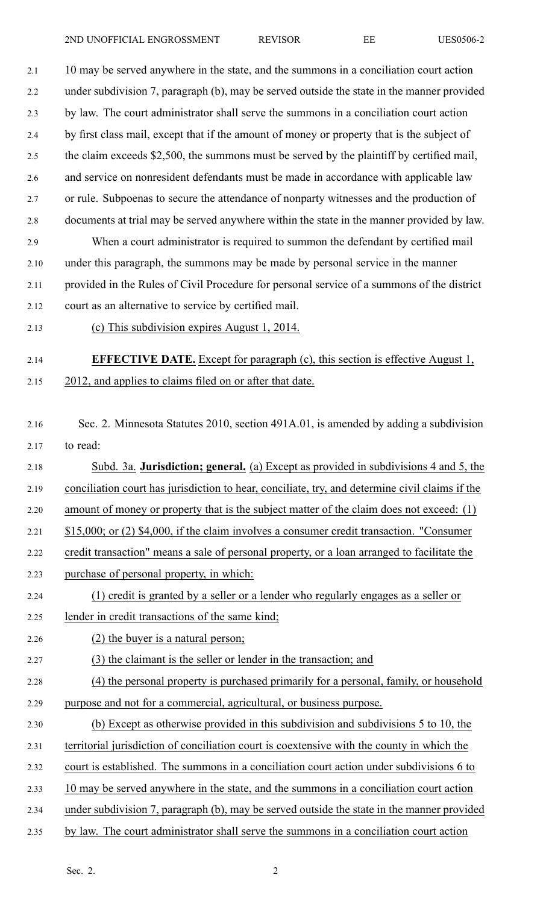2.1 10 may be served anywhere in the state, and the summons in <sup>a</sup> conciliation court action 2.2 under subdivision 7, paragraph (b), may be served outside the state in the manner provided 2.3 by law. The court administrator shall serve the summons in <sup>a</sup> conciliation court action 2.4 by first class mail, excep<sup>t</sup> that if the amount of money or property that is the subject of 2.5 the claim exceeds \$2,500, the summons must be served by the plaintiff by certified mail, 2.6 and service on nonresident defendants must be made in accordance with applicable law 2.7 or rule. Subpoenas to secure the attendance of nonparty witnesses and the production of 2.8 documents at trial may be served anywhere within the state in the manner provided by law. 2.9 When <sup>a</sup> court administrator is required to summon the defendant by certified mail 2.10 under this paragraph, the summons may be made by personal service in the manner 2.11 provided in the Rules of Civil Procedure for personal service of <sup>a</sup> summons of the district

- 2.12 court as an alternative to service by certified mail.
- 2.13 (c) This subdivision expires August 1, 2014.

## 2.14 **EFFECTIVE DATE.** Except for paragraph (c), this section is effective August 1, 2.15 2012, and applies to claims filed on or after that date.

- 2.16 Sec. 2. Minnesota Statutes 2010, section 491A.01, is amended by adding <sup>a</sup> subdivision 2.17 to read:
- 2.18 Subd. 3a. **Jurisdiction; general.** (a) Except as provided in subdivisions 4 and 5, the 2.19 conciliation court has jurisdiction to hear, conciliate, try, and determine civil claims if the
- 2.20 amount of money or property that is the subject matter of the claim does not exceed: (1)
- 2.21 \$15,000; or (2) \$4,000, if the claim involves <sup>a</sup> consumer credit transaction. "Consumer
- 2.22 credit transaction" means <sup>a</sup> sale of personal property, or <sup>a</sup> loan arranged to facilitate the
- 2.23 purchase of personal property, in which:
- 2.24 (1) credit is granted by <sup>a</sup> seller or <sup>a</sup> lender who regularly engages as <sup>a</sup> seller or
- 2.25 lender in credit transactions of the same kind;
- 2.26 (2) the buyer is <sup>a</sup> natural person;
- 2.27 (3) the claimant is the seller or lender in the transaction; and
- 2.28 (4) the personal property is purchased primarily for <sup>a</sup> personal, family, or household 2.29 purpose and not for <sup>a</sup> commercial, agricultural, or business purpose.
- 2.30 (b) Except as otherwise provided in this subdivision and subdivisions 5 to 10, the
- 2.31 territorial jurisdiction of conciliation court is coextensive with the county in which the
- 2.32 court is established. The summons in <sup>a</sup> conciliation court action under subdivisions 6 to
- 2.33 10 may be served anywhere in the state, and the summons in <sup>a</sup> conciliation court action
- 2.34 under subdivision 7, paragraph (b), may be served outside the state in the manner provided
- 2.35 by law. The court administrator shall serve the summons in <sup>a</sup> conciliation court action